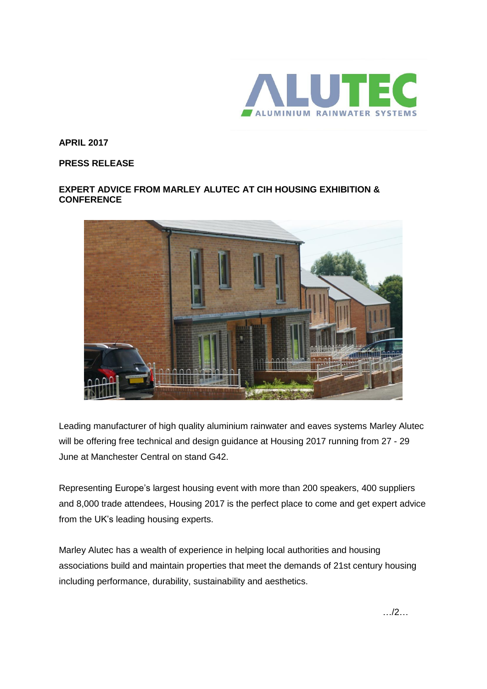

**APRIL 2017**

**PRESS RELEASE**

## **EXPERT ADVICE FROM MARLEY ALUTEC AT CIH HOUSING EXHIBITION & CONFERENCE**



Leading manufacturer of high quality aluminium rainwater and eaves systems Marley Alutec will be offering free technical and design guidance at Housing 2017 running from 27 - 29 June at Manchester Central on stand G42.

Representing Europe's largest housing event with more than 200 speakers, 400 suppliers and 8,000 trade attendees, Housing 2017 is the perfect place to come and get expert advice from the UK's leading housing experts.

Marley Alutec has a wealth of experience in helping local authorities and housing associations build and maintain properties that meet the demands of 21st century housing including performance, durability, sustainability and aesthetics.

…/2…